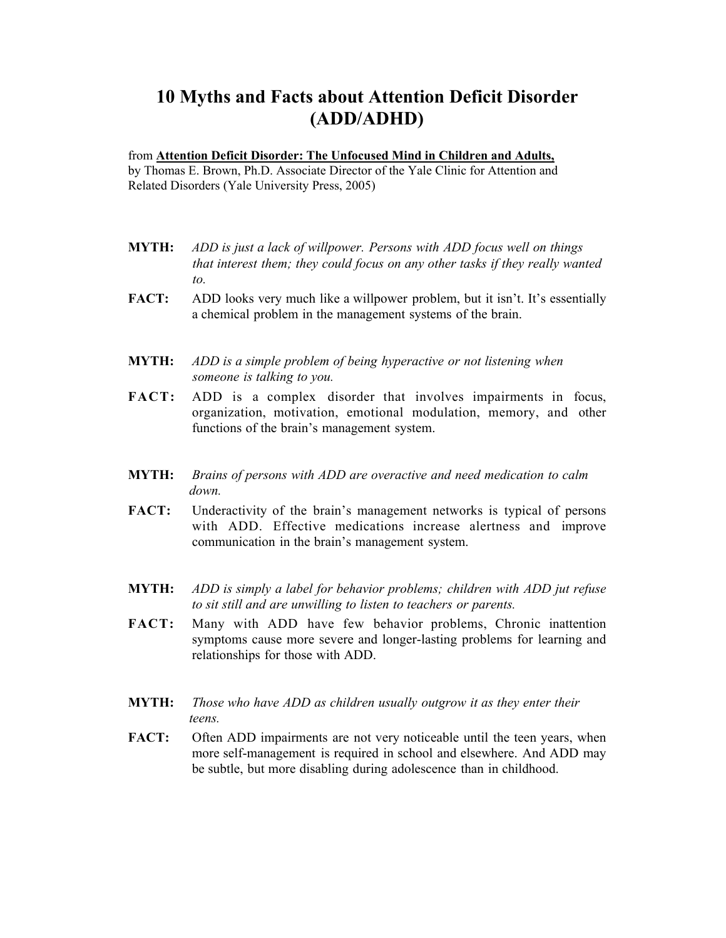## 10 Myths and Facts about Attention Deficit Disorder (ADD/ADHD)

## from Attention Deficit Disorder: The Unfocused Mind in Children and Adults,

by Thomas E. Brown, Ph.D. Associate Director of the Yale Clinic for Attention and Related Disorders (Yale University Press, 2005)

- MYTH: *ADD is just a lack of willpower. Persons with ADD focus well on things that interest them; they could focus on any other tasks if they really wanted to.*
- FACT: ADD looks very much like a willpower problem, but it isn't. It's essentially a chemical problem in the management systems of the brain.
- MYTH: *ADD is a simple problem of being hyperactive or not listening when someone is talking to you.*
- FACT: ADD is a complex disorder that involves impairments in focus, organization, motivation, emotional modulation, memory, and other functions of the brain's management system.
- MYTH: *Brains of persons with ADD are overactive and need medication to calm down.*
- FACT: Underactivity of the brain's management networks is typical of persons with ADD. Effective medications increase alertness and improve communication in the brain's management system.
- MYTH: *ADD is simply a label for behavior problems; children with ADD jut refuse to sit still and are unwilling to listen to teachers or parents.*
- FACT: Many with ADD have few behavior problems, Chronic inattention symptoms cause more severe and longer-lasting problems for learning and relationships for those with ADD.
- MYTH: *Those who have ADD as children usually outgrow it as they enter their teens.*
- FACT: Often ADD impairments are not very noticeable until the teen years, when more self-management is required in school and elsewhere. And ADD may be subtle, but more disabling during adolescence than in childhood.